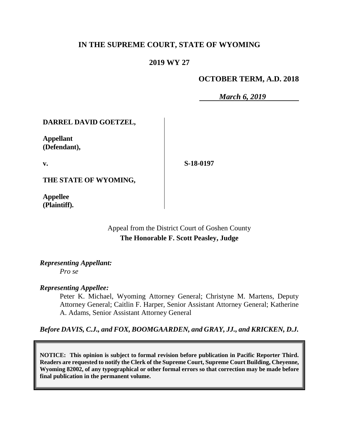# **IN THE SUPREME COURT, STATE OF WYOMING**

# **2019 WY 27**

# **OCTOBER TERM, A.D. 2018**

*March 6, 2019*

## **DARREL DAVID GOETZEL,**

**Appellant (Defendant),**

**v.**

**S-18-0197**

**THE STATE OF WYOMING,**

**Appellee (Plaintiff).**

> Appeal from the District Court of Goshen County **The Honorable F. Scott Peasley, Judge**

#### *Representing Appellant: Pro se*

*Representing Appellee:*

Peter K. Michael, Wyoming Attorney General; Christyne M. Martens, Deputy Attorney General; Caitlin F. Harper, Senior Assistant Attorney General; Katherine A. Adams, Senior Assistant Attorney General

*Before DAVIS, C.J., and FOX, BOOMGAARDEN, and GRAY, JJ., and KRICKEN, D.J.*

**NOTICE: This opinion is subject to formal revision before publication in Pacific Reporter Third. Readers are requested to notify the Clerk of the Supreme Court, Supreme Court Building, Cheyenne, Wyoming 82002, of any typographical or other formal errors so that correction may be made before final publication in the permanent volume.**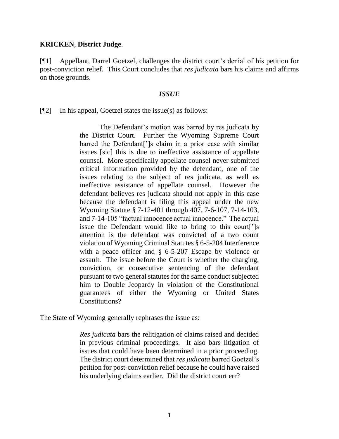## **KRICKEN**, **District Judge**.

[¶1] Appellant, Darrel Goetzel, challenges the district court's denial of his petition for post-conviction relief. This Court concludes that *res judicata* bars his claims and affirms on those grounds.

## *ISSUE*

 $[\P2]$  In his appeal, Goetzel states the issue(s) as follows:

The Defendant's motion was barred by res judicata by the District Court. Further the Wyoming Supreme Court barred the Defendant[']s claim in a prior case with similar issues [sic] this is due to ineffective assistance of appellate counsel. More specifically appellate counsel never submitted critical information provided by the defendant, one of the issues relating to the subject of res judicata, as well as ineffective assistance of appellate counsel. However the defendant believes res judicata should not apply in this case because the defendant is filing this appeal under the new Wyoming Statute § 7-12-401 through 407, 7-6-107, 7-14-103, and 7-14-105 "factual innocence actual innocence." The actual issue the Defendant would like to bring to this court[']s attention is the defendant was convicted of a two count violation of Wyoming Criminal Statutes § 6-5-204 Interference with a peace officer and § 6-5-207 Escape by violence or assault. The issue before the Court is whether the charging, conviction, or consecutive sentencing of the defendant pursuant to two general statutes for the same conduct subjected him to Double Jeopardy in violation of the Constitutional guarantees of either the Wyoming or United States Constitutions?

The State of Wyoming generally rephrases the issue as:

*Res judicata* bars the relitigation of claims raised and decided in previous criminal proceedings. It also bars litigation of issues that could have been determined in a prior proceeding. The district court determined that *res judicata* barred Goetzel's petition for post-conviction relief because he could have raised his underlying claims earlier. Did the district court err?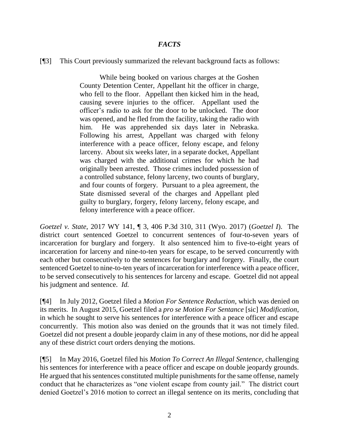# *FACTS*

[¶3] This Court previously summarized the relevant background facts as follows:

While being booked on various charges at the Goshen County Detention Center, Appellant hit the officer in charge, who fell to the floor. Appellant then kicked him in the head, causing severe injuries to the officer. Appellant used the officer's radio to ask for the door to be unlocked. The door was opened, and he fled from the facility, taking the radio with him. He was apprehended six days later in Nebraska. Following his arrest, Appellant was charged with felony interference with a peace officer, felony escape, and felony larceny. About six weeks later, in a separate docket, Appellant was charged with the additional crimes for which he had originally been arrested. Those crimes included possession of a controlled substance, felony larceny, two counts of burglary, and four counts of forgery. Pursuant to a plea agreement, the State dismissed several of the charges and Appellant pled guilty to burglary, forgery, felony larceny, felony escape, and felony interference with a peace officer.

*Goetzel v. State*, 2017 WY 141, ¶ 3, 406 P.3d 310, 311 (Wyo. 2017) (*Goetzel I*). The district court sentenced Goetzel to concurrent sentences of four-to-seven years of incarceration for burglary and forgery. It also sentenced him to five-to-eight years of incarceration for larceny and nine-to-ten years for escape, to be served concurrently with each other but consecutively to the sentences for burglary and forgery. Finally, the court sentenced Goetzel to nine-to-ten years of incarceration for interference with a peace officer, to be served consecutively to his sentences for larceny and escape. Goetzel did not appeal his judgment and sentence. *Id.*

[¶4] In July 2012, Goetzel filed a *Motion For Sentence Reduction*, which was denied on its merits. In August 2015, Goetzel filed a *pro se Motion For Sentance* [sic] *Modification*, in which he sought to serve his sentences for interference with a peace officer and escape concurrently. This motion also was denied on the grounds that it was not timely filed. Goetzel did not present a double jeopardy claim in any of these motions, nor did he appeal any of these district court orders denying the motions.

[¶5] In May 2016, Goetzel filed his *Motion To Correct An Illegal Sentence*, challenging his sentences for interference with a peace officer and escape on double jeopardy grounds. He argued that his sentences constituted multiple punishments for the same offense, namely conduct that he characterizes as "one violent escape from county jail." The district court denied Goetzel's 2016 motion to correct an illegal sentence on its merits, concluding that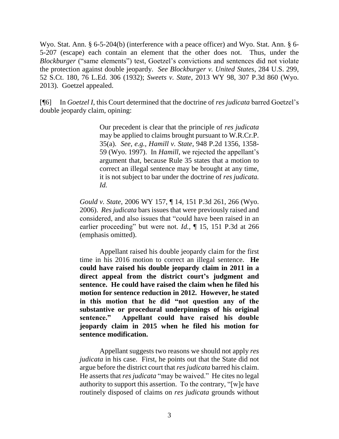Wyo. Stat. Ann. § 6-5-204(b) (interference with a peace officer) and Wyo. Stat. Ann. § 6- 5-207 (escape) each contain an element that the other does not. Thus, under the *Blockburger* ("same elements") test, Goetzel's convictions and sentences did not violate the protection against double jeopardy. *See Blockburger v. United States*, 284 U.S. 299, 52 S.Ct. 180, 76 L.Ed. 306 (1932); *Sweets v. State*, 2013 WY 98, 307 P.3d 860 (Wyo. 2013). Goetzel appealed.

[¶6] In *Goetzel I*, this Court determined that the doctrine of *res judicata* barred Goetzel's double jeopardy claim, opining:

> Our precedent is clear that the principle of *res judicata* may be applied to claims brought pursuant to W.R.Cr.P. 35(a). *See, e.g., Hamill v. State*, 948 P.2d 1356, 1358- 59 (Wyo. 1997). In *Hamill*, we rejected the appellant's argument that, because Rule 35 states that a motion to correct an illegal sentence may be brought at any time, it is not subject to bar under the doctrine of *res judicata. Id.*

*Gould v. State*, 2006 WY 157, ¶ 14, 151 P.3d 261, 266 (Wyo. 2006). *Res judicata* bars issues that were previously raised and considered, and also issues that "could have been raised in an earlier proceeding" but were not. *Id.*, ¶ 15, 151 P.3d at 266 (emphasis omitted).

Appellant raised his double jeopardy claim for the first time in his 2016 motion to correct an illegal sentence. **He could have raised his double jeopardy claim in 2011 in a direct appeal from the district court's judgment and sentence. He could have raised the claim when he filed his motion for sentence reduction in 2012. However, he stated in this motion that he did "not question any of the substantive or procedural underpinnings of his original sentence." Appellant could have raised his double jeopardy claim in 2015 when he filed his motion for sentence modification.**

Appellant suggests two reasons we should not apply *res judicata* in his case. First, he points out that the State did not argue before the district court that *res judicata* barred his claim. He asserts that *res judicata* "may be waived." He cites no legal authority to support this assertion. To the contrary, "[w]e have routinely disposed of claims on *res judicata* grounds without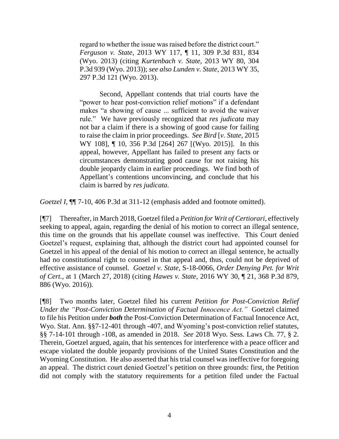regard to whether the issue was raised before the district court." *Ferguson v. State*, 2013 WY 117, ¶ 11, 309 P.3d 831, 834 (Wyo. 2013) (citing *Kurtenbach v. State*, 2013 WY 80, 304 P.3d 939 (Wyo. 2013)); *see also Lunden v. State*, 2013 WY 35, 297 P.3d 121 (Wyo. 2013).

Second, Appellant contends that trial courts have the "power to hear post-conviction relief motions" if a defendant makes "a showing of cause ... sufficient to avoid the waiver rule." We have previously recognized that *res judicata* may not bar a claim if there is a showing of good cause for failing to raise the claim in prior proceedings. *See Bird* [*v. State*, 2015 WY 108], ¶ 10, 356 P.3d [264] 267 [(Wyo. 2015)]. In this appeal, however, Appellant has failed to present any facts or circumstances demonstrating good cause for not raising his double jeopardy claim in earlier proceedings. We find both of Appellant's contentions unconvincing, and conclude that his claim is barred by *res judicata.*

*Goetzel I*, ¶¶ 7-10, 406 P.3d at 311-12 (emphasis added and footnote omitted).

[¶7] Thereafter, in March 2018, Goetzel filed a *Petition for Writ of Certiorari*, effectively seeking to appeal, again, regarding the denial of his motion to correct an illegal sentence, this time on the grounds that his appellate counsel was ineffective. This Court denied Goetzel's request, explaining that, although the district court had appointed counsel for Goetzel in his appeal of the denial of his motion to correct an illegal sentence, he actually had no constitutional right to counsel in that appeal and, thus, could not be deprived of effective assistance of counsel. *Goetzel v. State*, S-18-0066, *Order Denying Pet. for Writ of Cert.*, at 1 (March 27, 2018) (citing *Hawes v. State*, 2016 WY 30, ¶ 21, 368 P.3d 879, 886 (Wyo. 2016)).

[¶8] Two months later, Goetzel filed his current *Petition for Post-Conviction Relief Under the "Post-Conviction Determination of Factual Innocence Act."* Goetzel claimed to file his Petition under *both* the Post-Conviction Determination of Factual Innocence Act, Wyo. Stat. Ann. §§7-12-401 through -407, and Wyoming's post-conviction relief statutes, §§ 7-14-101 through -108, as amended in 2018. *See* 2018 Wyo. Sess. Laws Ch. 77, § 2. Therein, Goetzel argued, again, that his sentences for interference with a peace officer and escape violated the double jeopardy provisions of the United States Constitution and the Wyoming Constitution. He also asserted that his trial counsel was ineffective for foregoing an appeal. The district court denied Goetzel's petition on three grounds: first, the Petition did not comply with the statutory requirements for a petition filed under the Factual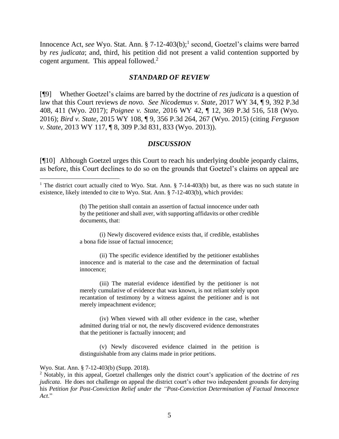Innocence Act, *see* Wyo. Stat. Ann. § 7-12-403(b); 1 second, Goetzel's claims were barred by *res judicata*; and, third, his petition did not present a valid contention supported by cogent argument. This appeal followed.<sup>2</sup>

#### *STANDARD OF REVIEW*

[¶9] Whether Goetzel's claims are barred by the doctrine of *res judicata* is a question of law that this Court reviews *de novo. See Nicodemus v. State*, 2017 WY 34, ¶ 9, 392 P.3d 408, 411 (Wyo. 2017); *Poignee v. State*, 2016 WY 42, ¶ 12, 369 P.3d 516, 518 (Wyo. 2016); *Bird v. State*, 2015 WY 108, ¶ 9, 356 P.3d 264, 267 (Wyo. 2015) (citing *Ferguson v. State*, 2013 WY 117, ¶ 8, 309 P.3d 831, 833 (Wyo. 2013)).

### *DISCUSSION*

[¶10] Although Goetzel urges this Court to reach his underlying double jeopardy claims, as before, this Court declines to do so on the grounds that Goetzel's claims on appeal are

(i) Newly discovered evidence exists that, if credible, establishes a bona fide issue of factual innocence;

(ii) The specific evidence identified by the petitioner establishes innocence and is material to the case and the determination of factual innocence;

(iii) The material evidence identified by the petitioner is not merely cumulative of evidence that was known, is not reliant solely upon recantation of testimony by a witness against the petitioner and is not merely impeachment evidence;

(iv) When viewed with all other evidence in the case, whether admitted during trial or not, the newly discovered evidence demonstrates that the petitioner is factually innocent; and

(v) Newly discovered evidence claimed in the petition is distinguishable from any claims made in prior petitions.

#### Wyo. Stat. Ann. § 7-12-403(b) (Supp. 2018).

<sup>&</sup>lt;sup>1</sup> The district court actually cited to Wyo. Stat. Ann. § 7-14-403(b) but, as there was no such statute in existence, likely intended to cite to Wyo. Stat. Ann. § 7-12-403(b), which provides:

<sup>(</sup>b) The petition shall contain an assertion of factual innocence under oath by the petitioner and shall aver, with supporting affidavits or other credible documents, that:

<sup>2</sup> Notably, in this appeal, Goetzel challenges only the district court's application of the doctrine of *res judicata*. He does not challenge on appeal the district court's other two independent grounds for denying his *Petition for Post-Conviction Relief under the "Post-Conviction Determination of Factual Innocence Act*."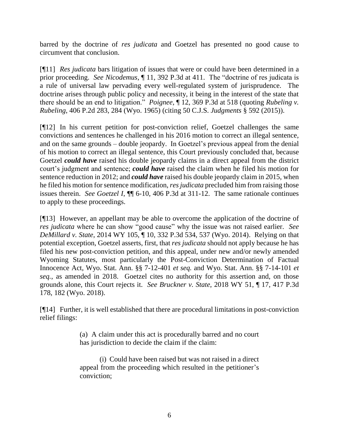barred by the doctrine of *res judicata* and Goetzel has presented no good cause to circumvent that conclusion.

[¶11] *Res judicata* bars litigation of issues that were or could have been determined in a prior proceeding. *See Nicodemus*, ¶ 11, 392 P.3d at 411. The "doctrine of res judicata is a rule of universal law pervading every well-regulated system of jurisprudence. The doctrine arises through public policy and necessity, it being in the interest of the state that there should be an end to litigation." *Poignee*, ¶ 12, 369 P.3d at 518 (quoting *Rubeling v. Rubeling*, 406 P.2d 283, 284 (Wyo. 1965) (citing 50 C.J.S. *Judgments* § 592 (2015)).

[¶12] In his current petition for post-conviction relief, Goetzel challenges the same convictions and sentences he challenged in his 2016 motion to correct an illegal sentence, and on the same grounds – double jeopardy. In Goetzel's previous appeal from the denial of his motion to correct an illegal sentence, this Court previously concluded that, because Goetzel *could have* raised his double jeopardy claims in a direct appeal from the district court's judgment and sentence; *could have* raised the claim when he filed his motion for sentence reduction in 2012; and *could have* raised his double jeopardy claim in 2015, when he filed his motion for sentence modification, *res judicata* precluded him from raising those issues therein. *See Goetzel I*, ¶¶ 6-10, 406 P.3d at 311-12. The same rationale continues to apply to these proceedings.

[¶13] However, an appellant may be able to overcome the application of the doctrine of *res judicata* where he can show "good cause" why the issue was not raised earlier. *See DeMillard v. State*, 2014 WY 105, ¶ 10, 332 P.3d 534, 537 (Wyo. 2014). Relying on that potential exception, Goetzel asserts, first, that *res judicata* should not apply because he has filed his new post-conviction petition, and this appeal, under new and/or newly amended Wyoming Statutes, most particularly the Post-Conviction Determination of Factual Innocence Act, Wyo. Stat. Ann. §§ 7-12-401 *et seq.* and Wyo. Stat. Ann. §§ 7-14-101 *et seq.*, as amended in 2018. Goetzel cites no authority for this assertion and, on those grounds alone, this Court rejects it. *See Bruckner v. State*, 2018 WY 51, ¶ 17, 417 P.3d 178, 182 (Wyo. 2018).

[¶14] Further, it is well established that there are procedural limitations in post-conviction relief filings:

> (a) A claim under this act is procedurally barred and no court has jurisdiction to decide the claim if the claim:

> (i) Could have been raised but was not raised in a direct appeal from the proceeding which resulted in the petitioner's conviction;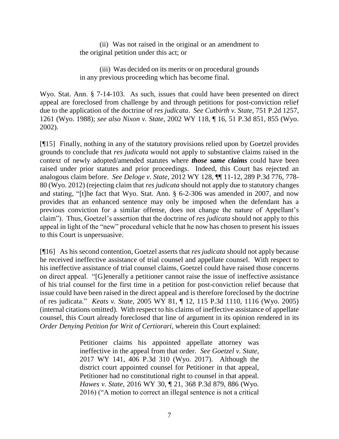(ii) Was not raised in the original or an amendment to the original petition under this act; or

(iii) Was decided on its merits or on procedural grounds in any previous proceeding which has become final.

Wyo. Stat. Ann. § 7-14-103. As such, issues that could have been presented on direct appeal are foreclosed from challenge by and through petitions for post-conviction relief due to the application of the doctrine of *res judicata*. *See Cutbirth v. State*, 751 P.2d 1257, 1261 (Wyo. 1988); *see also Nixon v. State*, 2002 WY 118, ¶ 16, 51 P.3d 851, 855 (Wyo. 2002).

[¶15] Finally, nothing in any of the statutory provisions relied upon by Goetzel provides grounds to conclude that *res judicata* would not apply to substantive claims raised in the context of newly adopted/amended statutes where *those same claims* could have been raised under prior statutes and prior proceedings. Indeed, this Court has rejected an analogous claim before. *See Deloge v. State*, 2012 WY 128, ¶¶ 11-12, 289 P.3d 776, 778- 80 (Wyo. 2012) (rejecting claim that *res judicata* should not apply due to statutory changes and stating, "[t]he fact that Wyo. Stat. Ann. § 6-2-306 was amended in 2007, and now provides that an enhanced sentence may only be imposed when the defendant has a previous conviction for a similar offense, does not change the nature of Appellant's claim"). Thus, Goetzel's assertion that the doctrine of *res judicata* should not apply to this appeal in light of the "new" procedural vehicle that he now has chosen to present his issues to this Court is unpersuasive.

[¶16] As his second contention, Goetzel asserts that *res judicata* should not apply because he received ineffective assistance of trial counsel and appellate counsel. With respect to his ineffective assistance of trial counsel claims, Goetzel could have raised those concerns on direct appeal. "[G]enerally a petitioner cannot raise the issue of ineffective assistance of his trial counsel for the first time in a petition for post-conviction relief because that issue could have been raised in the direct appeal and is therefore foreclosed by the doctrine of res judicata." *Keats v. State*, 2005 WY 81, ¶ 12, 115 P.3d 1110, 1116 (Wyo. 2005) (internal citations omitted). With respect to his claims of ineffective assistance of appellate counsel, this Court already foreclosed that line of argument in its opinion rendered in its *Order Denying Petition for Writ of Certiorari*, wherein this Court explained:

> Petitioner claims his appointed appellate attorney was ineffective in the appeal from that order. *See Goetzel v. State*, 2017 WY 141, 406 P.3d 310 (Wyo. 2017). Although the district court appointed counsel for Petitioner in that appeal, Petitioner had no constitutional right to counsel in that appeal. *Hawes v. State*, 2016 WY 30, ¶ 21, 368 P.3d 879, 886 (Wyo. 2016) ("A motion to correct an illegal sentence is not a critical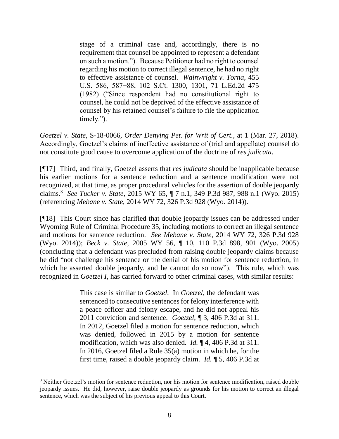stage of a criminal case and, accordingly, there is no requirement that counsel be appointed to represent a defendant on such a motion."). Because Petitioner had no right to counsel regarding his motion to correct illegal sentence, he had no right to effective assistance of counsel. *Wainwright v. Torna*, 455 U.S. 586, 587−88, 102 S.Ct. 1300, 1301, 71 L.Ed.2d 475 (1982) ("Since respondent had no constitutional right to counsel, he could not be deprived of the effective assistance of counsel by his retained counsel's failure to file the application timely.").

*Goetzel v. State*, S-18-0066, *Order Denying Pet. for Writ of Cert.*, at 1 (Mar. 27, 2018). Accordingly, Goetzel's claims of ineffective assistance of (trial and appellate) counsel do not constitute good cause to overcome application of the doctrine of *res judicata*.

[¶17] Third, and finally, Goetzel asserts that *res judicata* should be inapplicable because his earlier motions for a sentence reduction and a sentence modification were not recognized, at that time, as proper procedural vehicles for the assertion of double jeopardy claims.<sup>3</sup> *See Tucker v. State*, 2015 WY 65, ¶ 7 n.1, 349 P.3d 987, 988 n.1 (Wyo. 2015) (referencing *Mebane v. State,* 2014 WY 72, 326 P.3d 928 (Wyo. 2014)).

[¶18] This Court since has clarified that double jeopardy issues can be addressed under Wyoming Rule of Criminal Procedure 35, including motions to correct an illegal sentence and motions for sentence reduction. *See Mebane v. State,* 2014 WY 72, 326 P.3d 928 (Wyo. 2014)); *Beck v. State*, 2005 WY 56, ¶ 10, 110 P.3d 898, 901 (Wyo. 2005) (concluding that a defendant was precluded from raising double jeopardy claims because he did "not challenge his sentence or the denial of his motion for sentence reduction, in which he asserted double jeopardy, and he cannot do so now"). This rule, which was recognized in *Goetzel I*, has carried forward to other criminal cases, with similar results:

> This case is similar to *Goetzel*. In *Goetzel*, the defendant was sentenced to consecutive sentences for felony interference with a peace officer and felony escape, and he did not appeal his 2011 conviction and sentence. *Goetzel*, ¶ 3, 406 P.3d at 311. In 2012, Goetzel filed a motion for sentence reduction, which was denied, followed in 2015 by a motion for sentence modification, which was also denied. *Id.* ¶ 4, 406 P.3d at 311. In 2016, Goetzel filed a Rule 35(a) motion in which he, for the first time, raised a double jeopardy claim. *Id.* ¶ 5, 406 P.3d at

<sup>&</sup>lt;sup>3</sup> Neither Goetzel's motion for sentence reduction, nor his motion for sentence modification, raised double jeopardy issues. He did, however, raise double jeopardy as grounds for his motion to correct an illegal sentence, which was the subject of his previous appeal to this Court.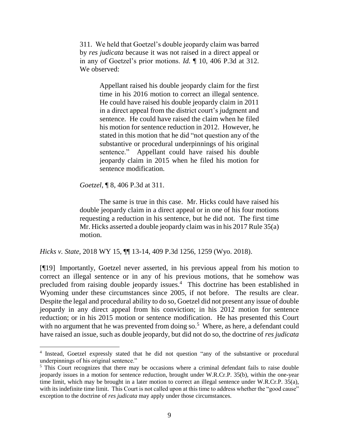311. We held that Goetzel's double jeopardy claim was barred by *res judicata* because it was not raised in a direct appeal or in any of Goetzel's prior motions. *Id.* ¶ 10, 406 P.3d at 312. We observed:

> Appellant raised his double jeopardy claim for the first time in his 2016 motion to correct an illegal sentence. He could have raised his double jeopardy claim in 2011 in a direct appeal from the district court's judgment and sentence. He could have raised the claim when he filed his motion for sentence reduction in 2012. However, he stated in this motion that he did "not question any of the substantive or procedural underpinnings of his original sentence." Appellant could have raised his double jeopardy claim in 2015 when he filed his motion for sentence modification.

*Goetzel*, ¶ 8, 406 P.3d at 311.

 $\overline{a}$ 

The same is true in this case. Mr. Hicks could have raised his double jeopardy claim in a direct appeal or in one of his four motions requesting a reduction in his sentence, but he did not. The first time Mr. Hicks asserted a double jeopardy claim was in his 2017 Rule 35(a) motion.

*Hicks v. State*, 2018 WY 15, ¶¶ 13-14, 409 P.3d 1256, 1259 (Wyo. 2018).

[¶19] Importantly, Goetzel never asserted, in his previous appeal from his motion to correct an illegal sentence or in any of his previous motions, that he somehow was precluded from raising double jeopardy issues.<sup>4</sup> This doctrine has been established in Wyoming under these circumstances since 2005, if not before. The results are clear. Despite the legal and procedural ability to do so, Goetzel did not present any issue of double jeopardy in any direct appeal from his conviction; in his 2012 motion for sentence reduction; or in his 2015 motion or sentence modification. He has presented this Court with no argument that he was prevented from doing so.<sup>5</sup> Where, as here, a defendant could have raised an issue, such as double jeopardy, but did not do so, the doctrine of *res judicata* 

<sup>&</sup>lt;sup>4</sup> Instead, Goetzel expressly stated that he did not question "any of the substantive or procedural underpinnings of his original sentence."

<sup>&</sup>lt;sup>5</sup> This Court recognizes that there may be occasions where a criminal defendant fails to raise double jeopardy issues in a motion for sentence reduction, brought under W.R.Cr.P. 35(b), within the one-year time limit, which may be brought in a later motion to correct an illegal sentence under W.R.Cr.P. 35(a), with its indefinite time limit. This Court is not called upon at this time to address whether the "good cause" exception to the doctrine of *res judicata* may apply under those circumstances.